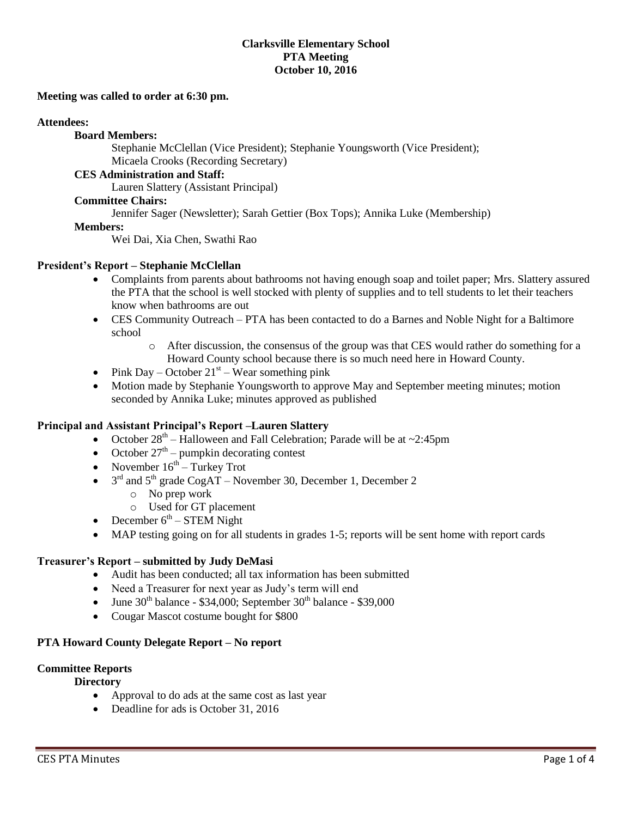## **Clarksville Elementary School PTA Meeting October 10, 2016**

#### **Meeting was called to order at 6:30 pm.**

#### **Attendees:**

# **Board Members:**

Stephanie McClellan (Vice President); Stephanie Youngsworth (Vice President); Micaela Crooks (Recording Secretary)

## **CES Administration and Staff:**

Lauren Slattery (Assistant Principal)

# **Committee Chairs:**

Jennifer Sager (Newsletter); Sarah Gettier (Box Tops); Annika Luke (Membership)

### **Members:**

Wei Dai, Xia Chen, Swathi Rao

### **President's Report – Stephanie McClellan**

- Complaints from parents about bathrooms not having enough soap and toilet paper; Mrs. Slattery assured the PTA that the school is well stocked with plenty of supplies and to tell students to let their teachers know when bathrooms are out
- CES Community Outreach PTA has been contacted to do a Barnes and Noble Night for a Baltimore school
	- o After discussion, the consensus of the group was that CES would rather do something for a Howard County school because there is so much need here in Howard County.
- Pink Day October  $21<sup>st</sup>$  Wear something pink
- Motion made by Stephanie Youngsworth to approve May and September meeting minutes; motion seconded by Annika Luke; minutes approved as published

## **Principal and Assistant Principal's Report –Lauren Slattery**

- October  $28<sup>th</sup> H$ alloween and Fall Celebration; Parade will be at ~2:45pm
- October  $27<sup>th</sup>$  pumpkin decorating contest
- November  $16^{th}$  Turkey Trot
- $\bullet$  3<sup>rd</sup> and 5<sup>th</sup> grade CogAT November 30, December 1, December 2
	- o No prep work
	- o Used for GT placement
- December  $6<sup>th</sup>$  STEM Night
- MAP testing going on for all students in grades 1-5; reports will be sent home with report cards

## **Treasurer's Report – submitted by Judy DeMasi**

- Audit has been conducted; all tax information has been submitted
- Need a Treasurer for next year as Judy's term will end
- $\bullet$  June 30<sup>th</sup> balance \$34,000; September 30<sup>th</sup> balance \$39,000
- Cougar Mascot costume bought for \$800

## **PTA Howard County Delegate Report – No report**

#### **Committee Reports**

## **Directory**

- Approval to do ads at the same cost as last year
- Deadline for ads is October 31, 2016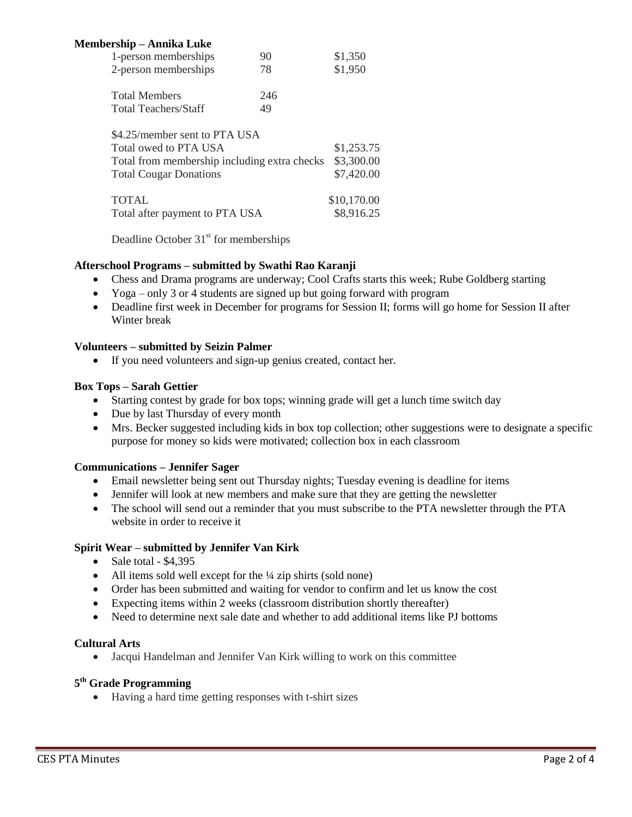| \$1,350     |
|-------------|
| \$1,950     |
|             |
|             |
|             |
| \$1,253.75  |
| \$3,300.00  |
| \$7,420.00  |
| \$10,170.00 |
| \$8,916.25  |
|             |

Deadline October  $31<sup>st</sup>$  for memberships

## **Afterschool Programs – submitted by Swathi Rao Karanji**

- Chess and Drama programs are underway; Cool Crafts starts this week; Rube Goldberg starting
- Yoga only 3 or 4 students are signed up but going forward with program
- Deadline first week in December for programs for Session II; forms will go home for Session II after Winter break

## **Volunteers – submitted by Seizin Palmer**

If you need volunteers and sign-up genius created, contact her.

## **Box Tops – Sarah Gettier**

- Starting contest by grade for box tops; winning grade will get a lunch time switch day
- Due by last Thursday of every month
- Mrs. Becker suggested including kids in box top collection; other suggestions were to designate a specific purpose for money so kids were motivated; collection box in each classroom

## **Communications – Jennifer Sager**

- Email newsletter being sent out Thursday nights; Tuesday evening is deadline for items
- Jennifer will look at new members and make sure that they are getting the newsletter
- The school will send out a reminder that you must subscribe to the PTA newsletter through the PTA website in order to receive it

## **Spirit Wear – submitted by Jennifer Van Kirk**

- Sale total  $-$  \$4,395
- All items sold well except for the  $\frac{1}{4}$  zip shirts (sold none)
- Order has been submitted and waiting for vendor to confirm and let us know the cost
- Expecting items within 2 weeks (classroom distribution shortly thereafter)
- Need to determine next sale date and whether to add additional items like PJ bottoms

## **Cultural Arts**

Jacqui Handelman and Jennifer Van Kirk willing to work on this committee

# **5 th Grade Programming**

Having a hard time getting responses with t-shirt sizes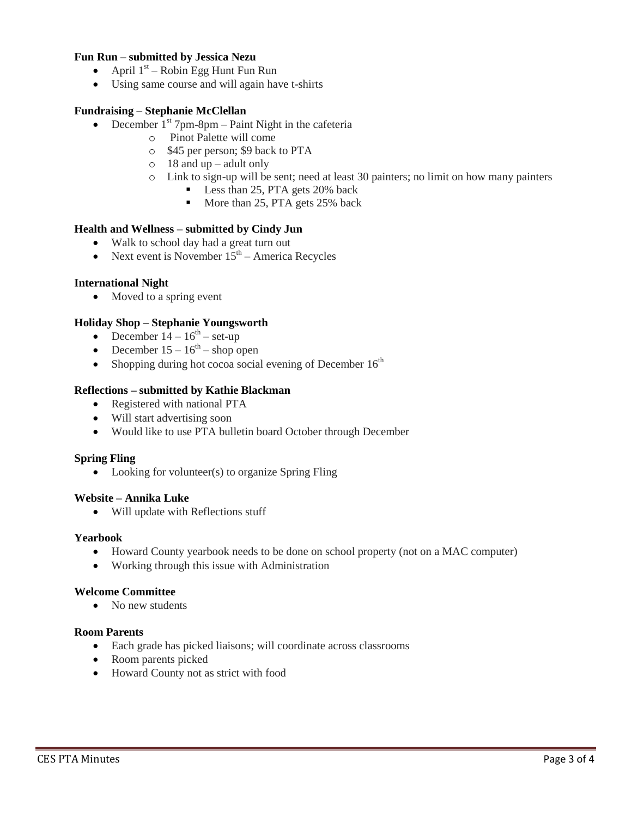# **Fun Run – submitted by Jessica Nezu**

- April  $1<sup>st</sup>$  Robin Egg Hunt Fun Run
- Using same course and will again have t-shirts

## **Fundraising – Stephanie McClellan**

- December  $1<sup>st</sup>$  7pm-8pm Paint Night in the cafeteria
	- o Pinot Palette will come
	- o \$45 per person; \$9 back to PTA
	- $\circ$  18 and up adult only
	- o Link to sign-up will be sent; need at least 30 painters; no limit on how many painters
		- Less than 25, PTA gets 20% back
		- More than 25, PTA gets 25% back

### **Health and Wellness – submitted by Cindy Jun**

- Walk to school day had a great turn out
- Next event is November  $15<sup>th</sup>$  America Recycles

### **International Night**

• Moved to a spring event

### **Holiday Shop – Stephanie Youngsworth**

- December  $14 16^{th}$  set-up
- December  $15 16^{th}$  shop open
- Shopping during hot cocoa social evening of December  $16<sup>th</sup>$

### **Reflections – submitted by Kathie Blackman**

- Registered with national PTA
- Will start advertising soon
- Would like to use PTA bulletin board October through December

#### **Spring Fling**

• Looking for volunteer(s) to organize Spring Fling

#### **Website – Annika Luke**

Will update with Reflections stuff

#### **Yearbook**

- Howard County yearbook needs to be done on school property (not on a MAC computer)
- Working through this issue with Administration

#### **Welcome Committee**

• No new students

#### **Room Parents**

- Each grade has picked liaisons; will coordinate across classrooms
- Room parents picked
- Howard County not as strict with food